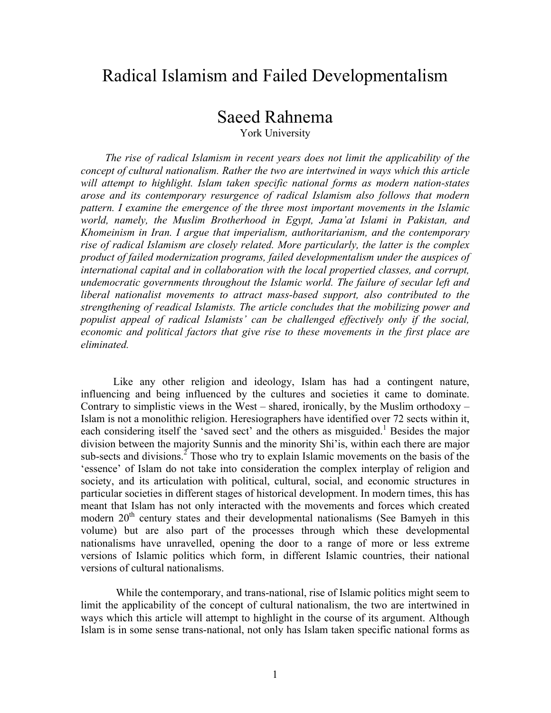# Radical Islamism and Failed Developmentalism

# Saeed Rahnema

York University

*The rise of radical Islamism in recent years does not limit the applicability of the concept of cultural nationalism. Rather the two are intertwined in ways which this article will attempt to highlight. Islam taken specific national forms as modern nation-states arose and its contemporary resurgence of radical Islamism also follows that modern pattern. I examine the emergence of the three most important movements in the Islamic world, namely, the Muslim Brotherhood in Egypt, Jama'at Islami in Pakistan, and Khomeinism in Iran. I argue that imperialism, authoritarianism, and the contemporary rise of radical Islamism are closely related. More particularly, the latter is the complex product of failed modernization programs, failed developmentalism under the auspices of international capital and in collaboration with the local propertied classes, and corrupt, undemocratic governments throughout the Islamic world. The failure of secular left and liberal nationalist movements to attract mass-based support, also contributed to the strengthening of readical Islamists. The article concludes that the mobilizing power and populist appeal of radical Islamists' can be challenged effectively only if the social, economic and political factors that give rise to these movements in the first place are eliminated.* 

Like any other religion and ideology, Islam has had a contingent nature, influencing and being influenced by the cultures and societies it came to dominate. Contrary to simplistic views in the West – shared, ironically, by the Muslim orthodoxy – Islam is not a monolithic religion. Heresiographers have identified over 72 sects within it, each considering itself the 'saved sect' and the others as misguided.<sup>1</sup> Besides the major division between the majority Sunnis and the minority Shi'is, within each there are major sub-sects and divisions.<sup>2</sup> Those who try to explain Islamic movements on the basis of the 'essence' of Islam do not take into consideration the complex interplay of religion and society, and its articulation with political, cultural, social, and economic structures in particular societies in different stages of historical development. In modern times, this has meant that Islam has not only interacted with the movements and forces which created modern  $20<sup>th</sup>$  century states and their developmental nationalisms (See Bamyeh in this volume) but are also part of the processes through which these developmental nationalisms have unravelled, opening the door to a range of more or less extreme versions of Islamic politics which form, in different Islamic countries, their national versions of cultural nationalisms.

While the contemporary, and trans-national, rise of Islamic politics might seem to limit the applicability of the concept of cultural nationalism, the two are intertwined in ways which this article will attempt to highlight in the course of its argument. Although Islam is in some sense trans-national, not only has Islam taken specific national forms as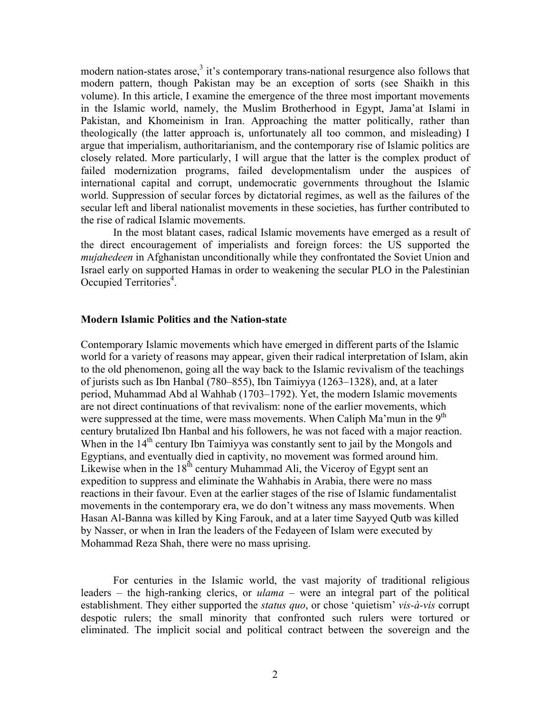modern nation-states arose,<sup>3</sup> it's contemporary trans-national resurgence also follows that modern pattern, though Pakistan may be an exception of sorts (see Shaikh in this volume). In this article, I examine the emergence of the three most important movements in the Islamic world, namely, the Muslim Brotherhood in Egypt, Jama'at Islami in Pakistan, and Khomeinism in Iran. Approaching the matter politically, rather than theologically (the latter approach is, unfortunately all too common, and misleading) I argue that imperialism, authoritarianism, and the contemporary rise of Islamic politics are closely related. More particularly, I will argue that the latter is the complex product of failed modernization programs, failed developmentalism under the auspices of international capital and corrupt, undemocratic governments throughout the Islamic world. Suppression of secular forces by dictatorial regimes, as well as the failures of the secular left and liberal nationalist movements in these societies, has further contributed to the rise of radical Islamic movements.

In the most blatant cases, radical Islamic movements have emerged as a result of the direct encouragement of imperialists and foreign forces: the US supported the *mujahedeen* in Afghanistan unconditionally while they confrontated the Soviet Union and Israel early on supported Hamas in order to weakening the secular PLO in the Palestinian Occupied Territories<sup>4</sup>.

### **Modern Islamic Politics and the Nation-state**

Contemporary Islamic movements which have emerged in different parts of the Islamic world for a variety of reasons may appear, given their radical interpretation of Islam, akin to the old phenomenon, going all the way back to the Islamic revivalism of the teachings of jurists such as Ibn Hanbal (780–855), Ibn Taimiyya (1263–1328), and, at a later period, Muhammad Abd al Wahhab (1703–1792). Yet, the modern Islamic movements are not direct continuations of that revivalism: none of the earlier movements, which were suppressed at the time, were mass movements. When Caliph Ma'mun in the 9<sup>th</sup> century brutalized Ibn Hanbal and his followers, he was not faced with a major reaction. When in the  $14<sup>th</sup>$  century Ibn Taimiyya was constantly sent to jail by the Mongols and Egyptians, and eventually died in captivity, no movement was formed around him. Likewise when in the  $18<sup>th</sup>$  century Muhammad Ali, the Viceroy of Egypt sent an expedition to suppress and eliminate the Wahhabis in Arabia, there were no mass reactions in their favour. Even at the earlier stages of the rise of Islamic fundamentalist movements in the contemporary era, we do don't witness any mass movements. When Hasan Al-Banna was killed by King Farouk, and at a later time Sayyed Qutb was killed by Nasser, or when in Iran the leaders of the Fedayeen of Islam were executed by Mohammad Reza Shah, there were no mass uprising.

For centuries in the Islamic world, the vast majority of traditional religious leaders – the high-ranking clerics, or *ulama* – were an integral part of the political establishment. They either supported the *status quo*, or chose 'quietism' *vis-à-vis* corrupt despotic rulers; the small minority that confronted such rulers were tortured or eliminated. The implicit social and political contract between the sovereign and the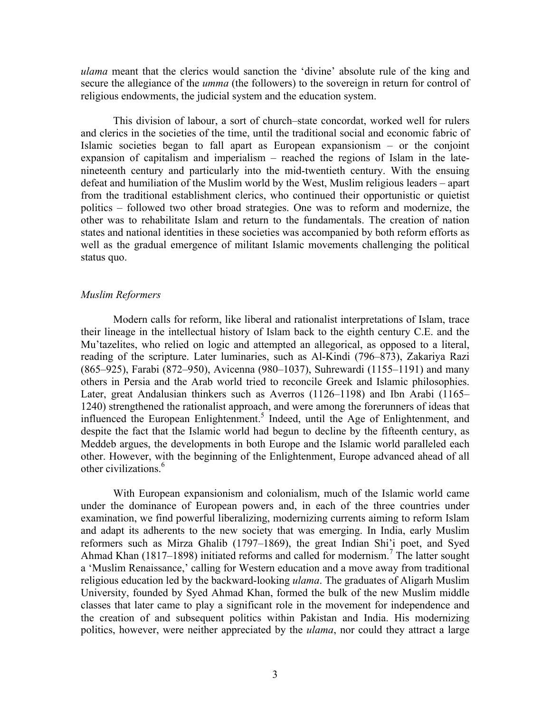*ulama* meant that the clerics would sanction the 'divine' absolute rule of the king and secure the allegiance of the *umma* (the followers) to the sovereign in return for control of religious endowments, the judicial system and the education system.

This division of labour, a sort of church–state concordat, worked well for rulers and clerics in the societies of the time, until the traditional social and economic fabric of Islamic societies began to fall apart as European expansionism – or the conjoint expansion of capitalism and imperialism – reached the regions of Islam in the latenineteenth century and particularly into the mid-twentieth century. With the ensuing defeat and humiliation of the Muslim world by the West, Muslim religious leaders – apart from the traditional establishment clerics, who continued their opportunistic or quietist politics – followed two other broad strategies. One was to reform and modernize, the other was to rehabilitate Islam and return to the fundamentals. The creation of nation states and national identities in these societies was accompanied by both reform efforts as well as the gradual emergence of militant Islamic movements challenging the political status quo.

### *Muslim Reformers*

Modern calls for reform, like liberal and rationalist interpretations of Islam, trace their lineage in the intellectual history of Islam back to the eighth century C.E. and the Mu'tazelites, who relied on logic and attempted an allegorical, as opposed to a literal, reading of the scripture. Later luminaries, such as Al-Kindi (796–873), Zakariya Razi (865–925), Farabi (872–950), Avicenna (980–1037), Suhrewardi (1155–1191) and many others in Persia and the Arab world tried to reconcile Greek and Islamic philosophies. Later, great Andalusian thinkers such as Averros (1126–1198) and Ibn Arabi (1165– 1240) strengthened the rationalist approach, and were among the forerunners of ideas that influenced the European Enlightenment. <sup>5</sup> Indeed, until the Age of Enlightenment, and despite the fact that the Islamic world had begun to decline by the fifteenth century, as Meddeb argues, the developments in both Europe and the Islamic world paralleled each other. However, with the beginning of the Enlightenment, Europe advanced ahead of all other civilizations.<sup>6</sup>

With European expansionism and colonialism, much of the Islamic world came under the dominance of European powers and, in each of the three countries under examination, we find powerful liberalizing, modernizing currents aiming to reform Islam and adapt its adherents to the new society that was emerging. In India, early Muslim reformers such as Mirza Ghalib (1797–1869), the great Indian Shi'i poet, and Syed Ahmad Khan (1817–1898) initiated reforms and called for modernism.<sup>7</sup> The latter sought a 'Muslim Renaissance,' calling for Western education and a move away from traditional religious education led by the backward-looking *ulama*. The graduates of Aligarh Muslim University, founded by Syed Ahmad Khan, formed the bulk of the new Muslim middle classes that later came to play a significant role in the movement for independence and the creation of and subsequent politics within Pakistan and India. His modernizing politics, however, were neither appreciated by the *ulama*, nor could they attract a large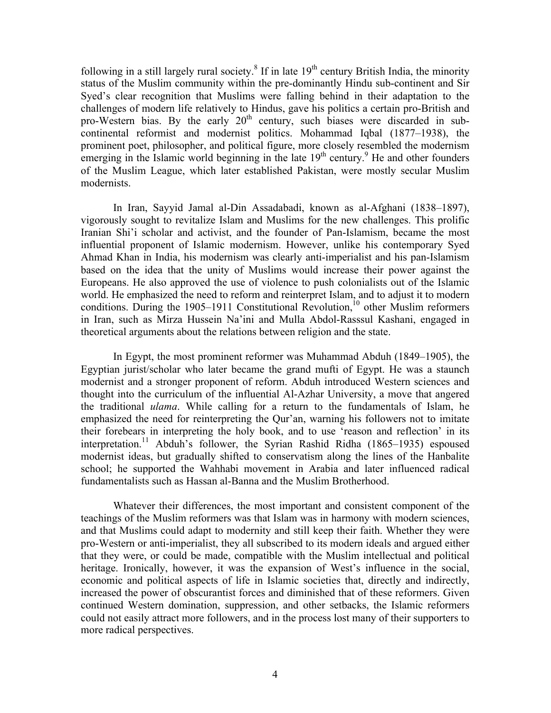following in a still largely rural society.<sup>8</sup> If in late  $19<sup>th</sup>$  century British India, the minority status of the Muslim community within the pre-dominantly Hindu sub-continent and Sir Syed's clear recognition that Muslims were falling behind in their adaptation to the challenges of modern life relatively to Hindus, gave his politics a certain pro-British and pro-Western bias. By the early  $20<sup>th</sup>$  century, such biases were discarded in subcontinental reformist and modernist politics. Mohammad Iqbal (1877–1938), the prominent poet, philosopher, and political figure, more closely resembled the modernism emerging in the Islamic world beginning in the late  $19<sup>th</sup>$  century.<sup>9</sup> He and other founders of the Muslim League, which later established Pakistan, were mostly secular Muslim modernists.

In Iran, Sayyid Jamal al-Din Assadabadi, known as al-Afghani (1838–1897), vigorously sought to revitalize Islam and Muslims for the new challenges. This prolific Iranian Shi'i scholar and activist, and the founder of Pan-Islamism, became the most influential proponent of Islamic modernism. However, unlike his contemporary Syed Ahmad Khan in India, his modernism was clearly anti-imperialist and his pan-Islamism based on the idea that the unity of Muslims would increase their power against the Europeans. He also approved the use of violence to push colonialists out of the Islamic world. He emphasized the need to reform and reinterpret Islam, and to adjust it to modern conditions. During the 1905–1911 Constitutional Revolution,<sup>10</sup> other Muslim reformers in Iran, such as Mirza Hussein Na'ini and Mulla Abdol-Rasssul Kashani, engaged in theoretical arguments about the relations between religion and the state.

In Egypt, the most prominent reformer was Muhammad Abduh (1849–1905), the Egyptian jurist/scholar who later became the grand mufti of Egypt. He was a staunch modernist and a stronger proponent of reform. Abduh introduced Western sciences and thought into the curriculum of the influential Al-Azhar University, a move that angered the traditional *ulama*. While calling for a return to the fundamentals of Islam, he emphasized the need for reinterpreting the Qur'an, warning his followers not to imitate their forebears in interpreting the holy book, and to use 'reason and reflection' in its interpretation. <sup>11</sup> Abduh's follower, the Syrian Rashid Ridha (1865–1935) espoused modernist ideas, but gradually shifted to conservatism along the lines of the Hanbalite school; he supported the Wahhabi movement in Arabia and later influenced radical fundamentalists such as Hassan al-Banna and the Muslim Brotherhood.

Whatever their differences, the most important and consistent component of the teachings of the Muslim reformers was that Islam was in harmony with modern sciences, and that Muslims could adapt to modernity and still keep their faith. Whether they were pro-Western or anti-imperialist, they all subscribed to its modern ideals and argued either that they were, or could be made, compatible with the Muslim intellectual and political heritage. Ironically, however, it was the expansion of West's influence in the social, economic and political aspects of life in Islamic societies that, directly and indirectly, increased the power of obscurantist forces and diminished that of these reformers. Given continued Western domination, suppression, and other setbacks, the Islamic reformers could not easily attract more followers, and in the process lost many of their supporters to more radical perspectives.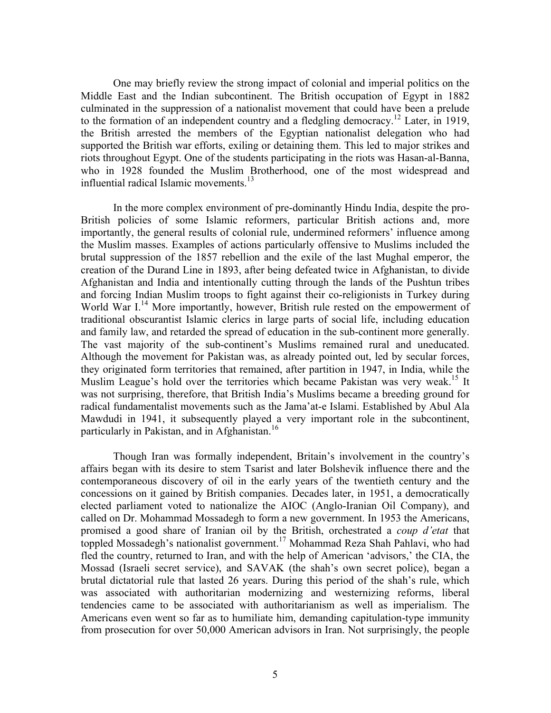One may briefly review the strong impact of colonial and imperial politics on the Middle East and the Indian subcontinent. The British occupation of Egypt in 1882 culminated in the suppression of a nationalist movement that could have been a prelude to the formation of an independent country and a fledgling democracy.<sup>12</sup> Later, in 1919, the British arrested the members of the Egyptian nationalist delegation who had supported the British war efforts, exiling or detaining them. This led to major strikes and riots throughout Egypt. One of the students participating in the riots was Hasan-al-Banna, who in 1928 founded the Muslim Brotherhood, one of the most widespread and influential radical Islamic movements.<sup>13</sup>

In the more complex environment of pre-dominantly Hindu India, despite the pro-British policies of some Islamic reformers, particular British actions and, more importantly, the general results of colonial rule, undermined reformers' influence among the Muslim masses. Examples of actions particularly offensive to Muslims included the brutal suppression of the 1857 rebellion and the exile of the last Mughal emperor, the creation of the Durand Line in 1893, after being defeated twice in Afghanistan, to divide Afghanistan and India and intentionally cutting through the lands of the Pushtun tribes and forcing Indian Muslim troops to fight against their co-religionists in Turkey during World War I.<sup>14</sup> More importantly, however, British rule rested on the empowerment of traditional obscurantist Islamic clerics in large parts of social life, including education and family law, and retarded the spread of education in the sub-continent more generally. The vast majority of the sub-continent's Muslims remained rural and uneducated. Although the movement for Pakistan was, as already pointed out, led by secular forces, they originated form territories that remained, after partition in 1947, in India, while the Muslim League's hold over the territories which became Pakistan was very weak.<sup>15</sup> It was not surprising, therefore, that British India's Muslims became a breeding ground for radical fundamentalist movements such as the Jama'at-e Islami. Established by Abul Ala Mawdudi in 1941, it subsequently played a very important role in the subcontinent, particularly in Pakistan, and in Afghanistan.<sup>16</sup>

Though Iran was formally independent, Britain's involvement in the country's affairs began with its desire to stem Tsarist and later Bolshevik influence there and the contemporaneous discovery of oil in the early years of the twentieth century and the concessions on it gained by British companies. Decades later, in 1951, a democratically elected parliament voted to nationalize the AIOC (Anglo-Iranian Oil Company), and called on Dr. Mohammad Mossadegh to form a new government. In 1953 the Americans, promised a good share of Iranian oil by the British, orchestrated a *coup d'etat* that toppled Mossadegh's nationalist government. <sup>17</sup> Mohammad Reza Shah Pahlavi, who had fled the country, returned to Iran, and with the help of American 'advisors,' the CIA, the Mossad (Israeli secret service), and SAVAK (the shah's own secret police), began a brutal dictatorial rule that lasted 26 years. During this period of the shah's rule, which was associated with authoritarian modernizing and westernizing reforms, liberal tendencies came to be associated with authoritarianism as well as imperialism. The Americans even went so far as to humiliate him, demanding capitulation-type immunity from prosecution for over 50,000 American advisors in Iran. Not surprisingly, the people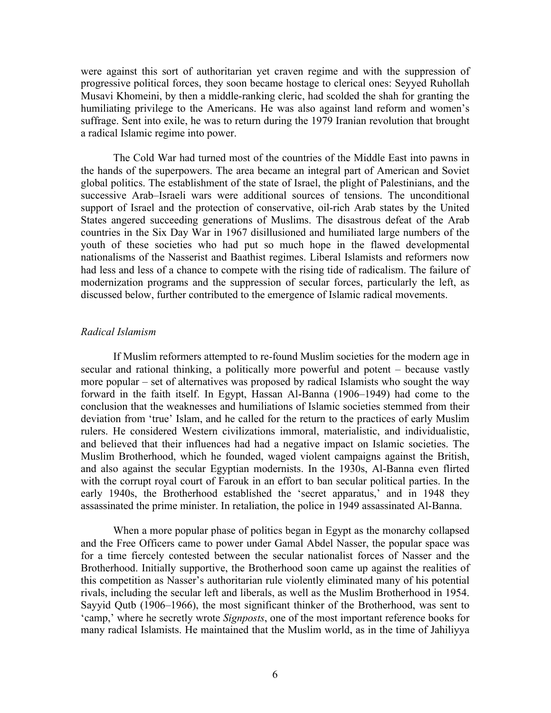were against this sort of authoritarian yet craven regime and with the suppression of progressive political forces, they soon became hostage to clerical ones: Seyyed Ruhollah Musavi Khomeini, by then a middle-ranking cleric, had scolded the shah for granting the humiliating privilege to the Americans. He was also against land reform and women's suffrage. Sent into exile, he was to return during the 1979 Iranian revolution that brought a radical Islamic regime into power.

The Cold War had turned most of the countries of the Middle East into pawns in the hands of the superpowers. The area became an integral part of American and Soviet global politics. The establishment of the state of Israel, the plight of Palestinians, and the successive Arab–Israeli wars were additional sources of tensions. The unconditional support of Israel and the protection of conservative, oil-rich Arab states by the United States angered succeeding generations of Muslims. The disastrous defeat of the Arab countries in the Six Day War in 1967 disillusioned and humiliated large numbers of the youth of these societies who had put so much hope in the flawed developmental nationalisms of the Nasserist and Baathist regimes. Liberal Islamists and reformers now had less and less of a chance to compete with the rising tide of radicalism. The failure of modernization programs and the suppression of secular forces, particularly the left, as discussed below, further contributed to the emergence of Islamic radical movements.

## *Radical Islamism*

If Muslim reformers attempted to re-found Muslim societies for the modern age in secular and rational thinking, a politically more powerful and potent – because vastly more popular – set of alternatives was proposed by radical Islamists who sought the way forward in the faith itself. In Egypt, Hassan Al-Banna (1906–1949) had come to the conclusion that the weaknesses and humiliations of Islamic societies stemmed from their deviation from 'true' Islam, and he called for the return to the practices of early Muslim rulers. He considered Western civilizations immoral, materialistic, and individualistic, and believed that their influences had had a negative impact on Islamic societies. The Muslim Brotherhood, which he founded, waged violent campaigns against the British, and also against the secular Egyptian modernists. In the 1930s, Al-Banna even flirted with the corrupt royal court of Farouk in an effort to ban secular political parties. In the early 1940s, the Brotherhood established the 'secret apparatus,' and in 1948 they assassinated the prime minister. In retaliation, the police in 1949 assassinated Al-Banna.

When a more popular phase of politics began in Egypt as the monarchy collapsed and the Free Officers came to power under Gamal Abdel Nasser, the popular space was for a time fiercely contested between the secular nationalist forces of Nasser and the Brotherhood. Initially supportive, the Brotherhood soon came up against the realities of this competition as Nasser's authoritarian rule violently eliminated many of his potential rivals, including the secular left and liberals, as well as the Muslim Brotherhood in 1954. Sayyid Qutb (1906–1966), the most significant thinker of the Brotherhood, was sent to 'camp,' where he secretly wrote *Signposts*, one of the most important reference books for many radical Islamists. He maintained that the Muslim world, as in the time of Jahiliyya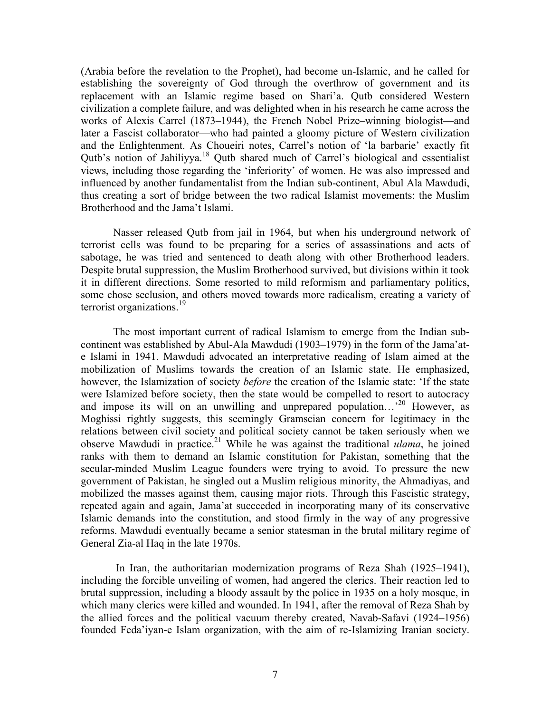(Arabia before the revelation to the Prophet), had become un-Islamic, and he called for establishing the sovereignty of God through the overthrow of government and its replacement with an Islamic regime based on Shari'a. Qutb considered Western civilization a complete failure, and was delighted when in his research he came across the works of Alexis Carrel (1873–1944), the French Nobel Prize–winning biologist—and later a Fascist collaborator—who had painted a gloomy picture of Western civilization and the Enlightenment. As Choueiri notes, Carrel's notion of 'la barbarie' exactly fit Qutb's notion of Jahiliyya.<sup>18</sup> Qutb shared much of Carrel's biological and essentialist views, including those regarding the 'inferiority' of women. He was also impressed and influenced by another fundamentalist from the Indian sub-continent, Abul Ala Mawdudi, thus creating a sort of bridge between the two radical Islamist movements: the Muslim Brotherhood and the Jama't Islami.

Nasser released Qutb from jail in 1964, but when his underground network of terrorist cells was found to be preparing for a series of assassinations and acts of sabotage, he was tried and sentenced to death along with other Brotherhood leaders. Despite brutal suppression, the Muslim Brotherhood survived, but divisions within it took it in different directions. Some resorted to mild reformism and parliamentary politics, some chose seclusion, and others moved towards more radicalism, creating a variety of terrorist organizations.<sup>19</sup>

The most important current of radical Islamism to emerge from the Indian subcontinent was established by Abul-Ala Mawdudi (1903–1979) in the form of the Jama'ate Islami in 1941. Mawdudi advocated an interpretative reading of Islam aimed at the mobilization of Muslims towards the creation of an Islamic state. He emphasized, however, the Islamization of society *before* the creation of the Islamic state: 'If the state were Islamized before society, then the state would be compelled to resort to autocracy and impose its will on an unwilling and unprepared population…' <sup>20</sup> However, as Moghissi rightly suggests, this seemingly Gramscian concern for legitimacy in the relations between civil society and political society cannot be taken seriously when we observe Mawdudi in practice.<sup>21</sup> While he was against the traditional *ulama*, he joined ranks with them to demand an Islamic constitution for Pakistan, something that the secular-minded Muslim League founders were trying to avoid. To pressure the new government of Pakistan, he singled out a Muslim religious minority, the Ahmadiyas, and mobilized the masses against them, causing major riots. Through this Fascistic strategy, repeated again and again, Jama'at succeeded in incorporating many of its conservative Islamic demands into the constitution, and stood firmly in the way of any progressive reforms. Mawdudi eventually became a senior statesman in the brutal military regime of General Zia-al Haq in the late 1970s.

In Iran, the authoritarian modernization programs of Reza Shah (1925–1941), including the forcible unveiling of women, had angered the clerics. Their reaction led to brutal suppression, including a bloody assault by the police in 1935 on a holy mosque, in which many clerics were killed and wounded. In 1941, after the removal of Reza Shah by the allied forces and the political vacuum thereby created, Navab-Safavi (1924–1956) founded Feda'iyan-e Islam organization, with the aim of re-Islamizing Iranian society.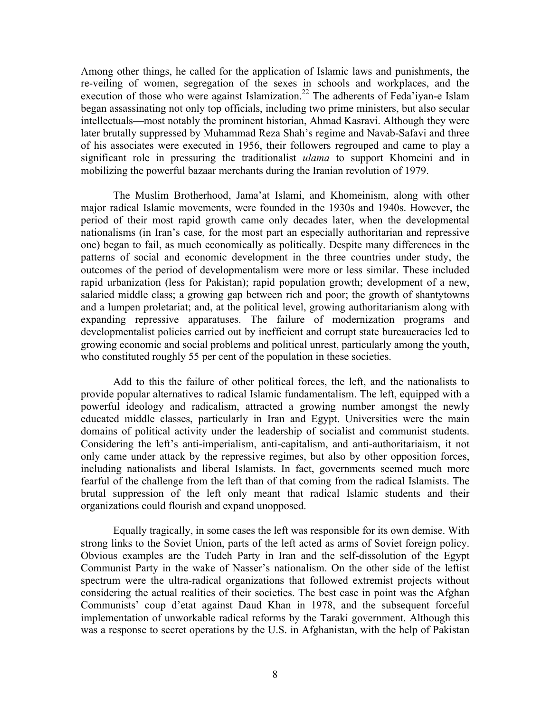Among other things, he called for the application of Islamic laws and punishments, the re-veiling of women, segregation of the sexes in schools and workplaces, and the execution of those who were against Islamization.<sup>22</sup> The adherents of Feda'iyan-e Islam began assassinating not only top officials, including two prime ministers, but also secular intellectuals—most notably the prominent historian, Ahmad Kasravi. Although they were later brutally suppressed by Muhammad Reza Shah's regime and Navab-Safavi and three of his associates were executed in 1956, their followers regrouped and came to play a significant role in pressuring the traditionalist *ulama* to support Khomeini and in mobilizing the powerful bazaar merchants during the Iranian revolution of 1979.

The Muslim Brotherhood, Jama'at Islami, and Khomeinism, along with other major radical Islamic movements, were founded in the 1930s and 1940s. However, the period of their most rapid growth came only decades later, when the developmental nationalisms (in Iran's case, for the most part an especially authoritarian and repressive one) began to fail, as much economically as politically. Despite many differences in the patterns of social and economic development in the three countries under study, the outcomes of the period of developmentalism were more or less similar. These included rapid urbanization (less for Pakistan); rapid population growth; development of a new, salaried middle class; a growing gap between rich and poor; the growth of shantytowns and a lumpen proletariat; and, at the political level, growing authoritarianism along with expanding repressive apparatuses. The failure of modernization programs and developmentalist policies carried out by inefficient and corrupt state bureaucracies led to growing economic and social problems and political unrest, particularly among the youth, who constituted roughly 55 per cent of the population in these societies.

Add to this the failure of other political forces, the left, and the nationalists to provide popular alternatives to radical Islamic fundamentalism. The left, equipped with a powerful ideology and radicalism, attracted a growing number amongst the newly educated middle classes, particularly in Iran and Egypt. Universities were the main domains of political activity under the leadership of socialist and communist students. Considering the left's anti-imperialism, anti-capitalism, and anti-authoritariaism, it not only came under attack by the repressive regimes, but also by other opposition forces, including nationalists and liberal Islamists. In fact, governments seemed much more fearful of the challenge from the left than of that coming from the radical Islamists. The brutal suppression of the left only meant that radical Islamic students and their organizations could flourish and expand unopposed.

Equally tragically, in some cases the left was responsible for its own demise. With strong links to the Soviet Union, parts of the left acted as arms of Soviet foreign policy. Obvious examples are the Tudeh Party in Iran and the self-dissolution of the Egypt Communist Party in the wake of Nasser's nationalism. On the other side of the leftist spectrum were the ultra-radical organizations that followed extremist projects without considering the actual realities of their societies. The best case in point was the Afghan Communists' coup d'etat against Daud Khan in 1978, and the subsequent forceful implementation of unworkable radical reforms by the Taraki government. Although this was a response to secret operations by the U.S. in Afghanistan, with the help of Pakistan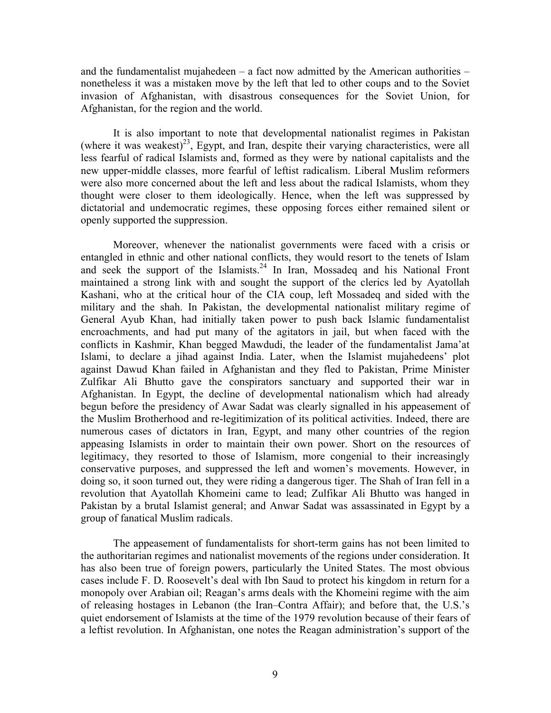and the fundamentalist mujahedeen  $-$  a fact now admitted by the American authorities  $$ nonetheless it was a mistaken move by the left that led to other coups and to the Soviet invasion of Afghanistan, with disastrous consequences for the Soviet Union, for Afghanistan, for the region and the world.

It is also important to note that developmental nationalist regimes in Pakistan (where it was weakest)<sup>23</sup>, Egypt, and Iran, despite their varying characteristics, were all less fearful of radical Islamists and, formed as they were by national capitalists and the new upper-middle classes, more fearful of leftist radicalism. Liberal Muslim reformers were also more concerned about the left and less about the radical Islamists, whom they thought were closer to them ideologically. Hence, when the left was suppressed by dictatorial and undemocratic regimes, these opposing forces either remained silent or openly supported the suppression.

Moreover, whenever the nationalist governments were faced with a crisis or entangled in ethnic and other national conflicts, they would resort to the tenets of Islam and seek the support of the Islamists.<sup>24</sup> In Iran, Mossadeq and his National Front maintained a strong link with and sought the support of the clerics led by Ayatollah Kashani, who at the critical hour of the CIA coup, left Mossadeq and sided with the military and the shah. In Pakistan, the developmental nationalist military regime of General Ayub Khan, had initially taken power to push back Islamic fundamentalist encroachments, and had put many of the agitators in jail, but when faced with the conflicts in Kashmir, Khan begged Mawdudi, the leader of the fundamentalist Jama'at Islami, to declare a jihad against India. Later, when the Islamist mujahedeens' plot against Dawud Khan failed in Afghanistan and they fled to Pakistan, Prime Minister Zulfikar Ali Bhutto gave the conspirators sanctuary and supported their war in Afghanistan. In Egypt, the decline of developmental nationalism which had already begun before the presidency of Awar Sadat was clearly signalled in his appeasement of the Muslim Brotherhood and re-legitimization of its political activities. Indeed, there are numerous cases of dictators in Iran, Egypt, and many other countries of the region appeasing Islamists in order to maintain their own power. Short on the resources of legitimacy, they resorted to those of Islamism, more congenial to their increasingly conservative purposes, and suppressed the left and women's movements. However, in doing so, it soon turned out, they were riding a dangerous tiger. The Shah of Iran fell in a revolution that Ayatollah Khomeini came to lead; Zulfikar Ali Bhutto was hanged in Pakistan by a brutal Islamist general; and Anwar Sadat was assassinated in Egypt by a group of fanatical Muslim radicals.

The appeasement of fundamentalists for short-term gains has not been limited to the authoritarian regimes and nationalist movements of the regions under consideration. It has also been true of foreign powers, particularly the United States. The most obvious cases include F. D. Roosevelt's deal with Ibn Saud to protect his kingdom in return for a monopoly over Arabian oil; Reagan's arms deals with the Khomeini regime with the aim of releasing hostages in Lebanon (the Iran–Contra Affair); and before that, the U.S.'s quiet endorsement of Islamists at the time of the 1979 revolution because of their fears of a leftist revolution. In Afghanistan, one notes the Reagan administration's support of the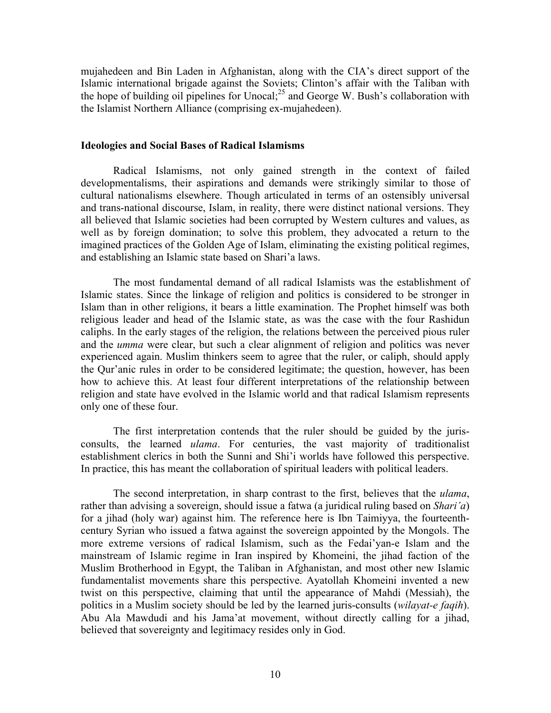mujahedeen and Bin Laden in Afghanistan, along with the CIA's direct support of the Islamic international brigade against the Soviets; Clinton's affair with the Taliban with the hope of building oil pipelines for Unocal; $^{25}$  and George W. Bush's collaboration with the Islamist Northern Alliance (comprising ex-mujahedeen).

### **Ideologies and Social Bases of Radical Islamisms**

Radical Islamisms, not only gained strength in the context of failed developmentalisms, their aspirations and demands were strikingly similar to those of cultural nationalisms elsewhere. Though articulated in terms of an ostensibly universal and trans-national discourse, Islam, in reality, there were distinct national versions. They all believed that Islamic societies had been corrupted by Western cultures and values, as well as by foreign domination; to solve this problem, they advocated a return to the imagined practices of the Golden Age of Islam, eliminating the existing political regimes, and establishing an Islamic state based on Shari'a laws.

The most fundamental demand of all radical Islamists was the establishment of Islamic states. Since the linkage of religion and politics is considered to be stronger in Islam than in other religions, it bears a little examination. The Prophet himself was both religious leader and head of the Islamic state, as was the case with the four Rashidun caliphs. In the early stages of the religion, the relations between the perceived pious ruler and the *umma* were clear, but such a clear alignment of religion and politics was never experienced again. Muslim thinkers seem to agree that the ruler, or caliph, should apply the Qur'anic rules in order to be considered legitimate; the question, however, has been how to achieve this. At least four different interpretations of the relationship between religion and state have evolved in the Islamic world and that radical Islamism represents only one of these four.

The first interpretation contends that the ruler should be guided by the jurisconsults, the learned *ulama*. For centuries, the vast majority of traditionalist establishment clerics in both the Sunni and Shi'i worlds have followed this perspective. In practice, this has meant the collaboration of spiritual leaders with political leaders.

The second interpretation, in sharp contrast to the first, believes that the *ulama*, rather than advising a sovereign, should issue a fatwa (a juridical ruling based on *Shari'a*) for a jihad (holy war) against him. The reference here is Ibn Taimiyya, the fourteenthcentury Syrian who issued a fatwa against the sovereign appointed by the Mongols. The more extreme versions of radical Islamism, such as the Fedai'yan-e Islam and the mainstream of Islamic regime in Iran inspired by Khomeini, the jihad faction of the Muslim Brotherhood in Egypt, the Taliban in Afghanistan, and most other new Islamic fundamentalist movements share this perspective. Ayatollah Khomeini invented a new twist on this perspective, claiming that until the appearance of Mahdi (Messiah), the politics in a Muslim society should be led by the learned juris-consults (*wilayat-e faqih*). Abu Ala Mawdudi and his Jama'at movement, without directly calling for a jihad, believed that sovereignty and legitimacy resides only in God.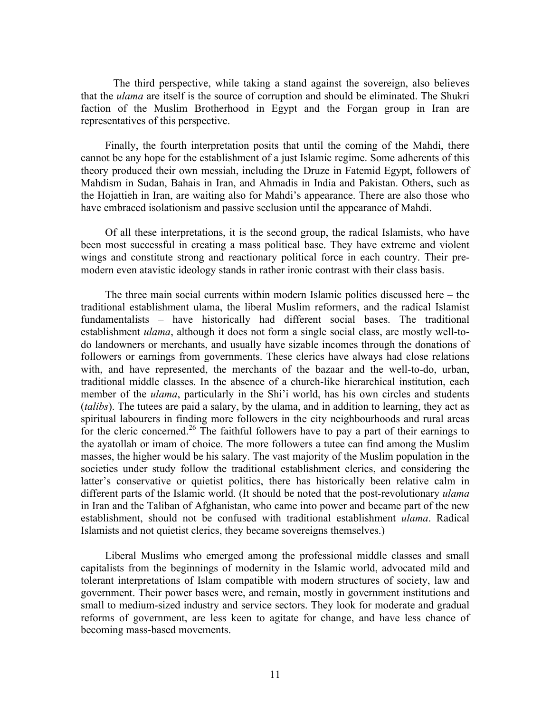The third perspective, while taking a stand against the sovereign, also believes that the *ulama* are itself is the source of corruption and should be eliminated. The Shukri faction of the Muslim Brotherhood in Egypt and the Forgan group in Iran are representatives of this perspective.

Finally, the fourth interpretation posits that until the coming of the Mahdi, there cannot be any hope for the establishment of a just Islamic regime. Some adherents of this theory produced their own messiah, including the Druze in Fatemid Egypt, followers of Mahdism in Sudan, Bahais in Iran, and Ahmadis in India and Pakistan. Others, such as the Hojattieh in Iran, are waiting also for Mahdi's appearance. There are also those who have embraced isolationism and passive seclusion until the appearance of Mahdi.

Of all these interpretations, it is the second group, the radical Islamists, who have been most successful in creating a mass political base. They have extreme and violent wings and constitute strong and reactionary political force in each country. Their premodern even atavistic ideology stands in rather ironic contrast with their class basis.

The three main social currents within modern Islamic politics discussed here – the traditional establishment ulama, the liberal Muslim reformers, and the radical Islamist fundamentalists – have historically had different social bases. The traditional establishment *ulama*, although it does not form a single social class, are mostly well-todo landowners or merchants, and usually have sizable incomes through the donations of followers or earnings from governments. These clerics have always had close relations with, and have represented, the merchants of the bazaar and the well-to-do, urban, traditional middle classes. In the absence of a church-like hierarchical institution, each member of the *ulama*, particularly in the Shi'i world, has his own circles and students (*talibs*). The tutees are paid a salary, by the ulama, and in addition to learning, they act as spiritual labourers in finding more followers in the city neighbourhoods and rural areas for the cleric concerned.<sup>26</sup> The faithful followers have to pay a part of their earnings to the ayatollah or imam of choice. The more followers a tutee can find among the Muslim masses, the higher would be his salary. The vast majority of the Muslim population in the societies under study follow the traditional establishment clerics, and considering the latter's conservative or quietist politics, there has historically been relative calm in different parts of the Islamic world. (It should be noted that the post-revolutionary *ulama* in Iran and the Taliban of Afghanistan, who came into power and became part of the new establishment, should not be confused with traditional establishment *ulama*. Radical Islamists and not quietist clerics, they became sovereigns themselves.)

Liberal Muslims who emerged among the professional middle classes and small capitalists from the beginnings of modernity in the Islamic world, advocated mild and tolerant interpretations of Islam compatible with modern structures of society, law and government. Their power bases were, and remain, mostly in government institutions and small to medium-sized industry and service sectors. They look for moderate and gradual reforms of government, are less keen to agitate for change, and have less chance of becoming mass-based movements.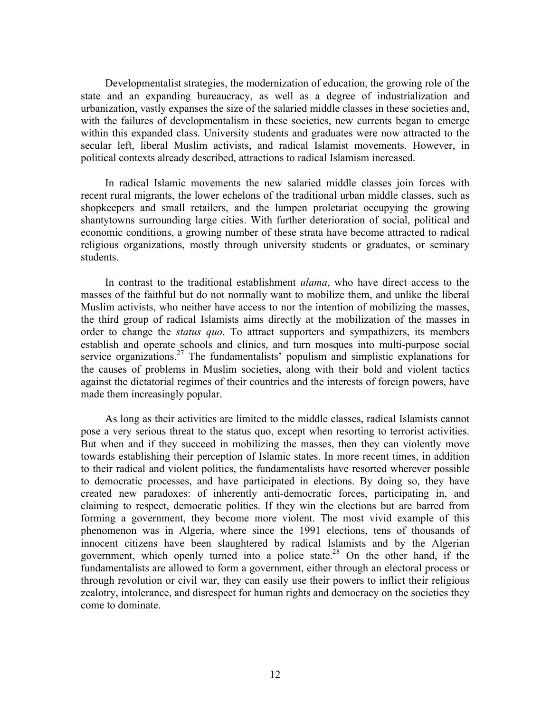Developmentalist strategies, the modernization of education, the growing role of the state and an expanding bureaucracy, as well as a degree of industrialization and urbanization, vastly expanses the size of the salaried middle classes in these societies and, with the failures of developmentalism in these societies, new currents began to emerge within this expanded class. University students and graduates were now attracted to the secular left, liberal Muslim activists, and radical Islamist movements. However, in political contexts already described, attractions to radical Islamism increased.

In radical Islamic movements the new salaried middle classes join forces with recent rural migrants, the lower echelons of the traditional urban middle classes, such as shopkeepers and small retailers, and the lumpen proletariat occupying the growing shantytowns surrounding large cities. With further deterioration of social, political and economic conditions, a growing number of these strata have become attracted to radical religious organizations, mostly through university students or graduates, or seminary students.

In contrast to the traditional establishment *ulama*, who have direct access to the masses of the faithful but do not normally want to mobilize them, and unlike the liberal Muslim activists, who neither have access to nor the intention of mobilizing the masses, the third group of radical Islamists aims directly at the mobilization of the masses in order to change the *status quo*. To attract supporters and sympathizers, its members establish and operate schools and clinics, and turn mosques into multi-purpose social service organizations.<sup>27</sup> The fundamentalists' populism and simplistic explanations for the causes of problems in Muslim societies, along with their bold and violent tactics against the dictatorial regimes of their countries and the interests of foreign powers, have made them increasingly popular.

As long as their activities are limited to the middle classes, radical Islamists cannot pose a very serious threat to the status quo, except when resorting to terrorist activities. But when and if they succeed in mobilizing the masses, then they can violently move towards establishing their perception of Islamic states. In more recent times, in addition to their radical and violent politics, the fundamentalists have resorted wherever possible to democratic processes, and have participated in elections. By doing so, they have created new paradoxes: of inherently anti-democratic forces, participating in, and claiming to respect, democratic politics. If they win the elections but are barred from forming a government, they become more violent. The most vivid example of this phenomenon was in Algeria, where since the 1991 elections, tens of thousands of innocent citizens have been slaughtered by radical Islamists and by the Algerian government, which openly turned into a police state.<sup>28</sup> On the other hand, if the fundamentalists are allowed to form a government, either through an electoral process or through revolution or civil war, they can easily use their powers to inflict their religious zealotry, intolerance, and disrespect for human rights and democracy on the societies they come to dominate.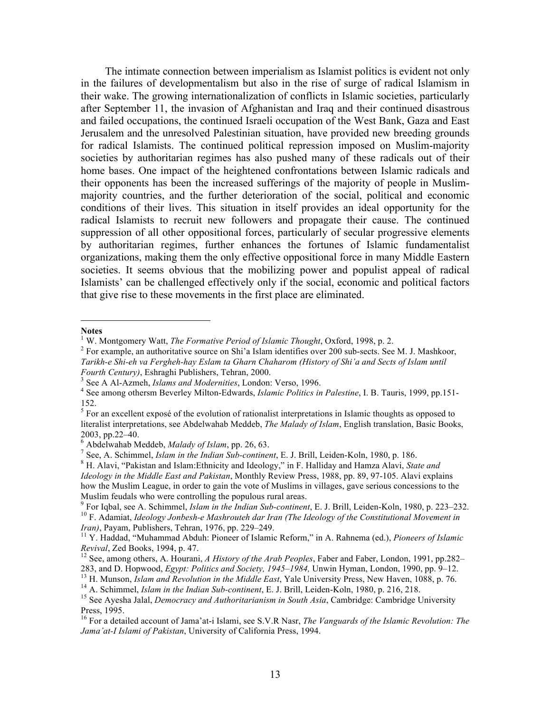The intimate connection between imperialism as Islamist politics is evident not only in the failures of developmentalism but also in the rise of surge of radical Islamism in their wake. The growing internationalization of conflicts in Islamic societies, particularly after September 11, the invasion of Afghanistan and Iraq and their continued disastrous and failed occupations, the continued Israeli occupation of the West Bank, Gaza and East Jerusalem and the unresolved Palestinian situation, have provided new breeding grounds for radical Islamists. The continued political repression imposed on Muslim-majority societies by authoritarian regimes has also pushed many of these radicals out of their home bases. One impact of the heightened confrontations between Islamic radicals and their opponents has been the increased sufferings of the majority of people in Muslimmajority countries, and the further deterioration of the social, political and economic conditions of their lives. This situation in itself provides an ideal opportunity for the radical Islamists to recruit new followers and propagate their cause. The continued suppression of all other oppositional forces, particularly of secular progressive elements by authoritarian regimes, further enhances the fortunes of Islamic fundamentalist organizations, making them the only effective oppositional force in many Middle Eastern societies. It seems obvious that the mobilizing power and populist appeal of radical Islamists' can be challenged effectively only if the social, economic and political factors that give rise to these movements in the first place are eliminated.

#### **Notes**

 $\overline{a}$ 

<sup>&</sup>lt;sup>1</sup> W. Montgomery Watt, *The Formative Period of Islamic Thought*, Oxford, 1998, p. 2.<br><sup>2</sup> For example, an authoritative source on Shi'a Islam identifies over 200 sub-sects. See M. J. Mashkoor, *Tarikh-e Shi-eh va Fergheh-hay Eslam ta Gharn Chaharom (History of Shi'a and Sects of Islam until* 

Fourth Century), Eshraghi Publishers, Tehran, 2000.<br><sup>3</sup> See A Al-Azmeh, *Islams and Modernities*, London: Verso, 1996.<br><sup>4</sup> See among othersm Beverley Milton-Edwards, *Islamic Politics in Palestine*, I. B. Tauris, 1999, pp. 152.

<sup>&</sup>lt;sup>5</sup> For an excellent exposé of the evolution of rationalist interpretations in Islamic thoughts as opposed to literalist interpretations, see Abdelwahab Meddeb, *The Malady of Islam*, English translation, Basic Books, 2003, pp.22–40.<br>
<sup>6</sup> Abdelwahab Meddeb, *Malady of Islam*, pp. 26, 63.<br>
<sup>7</sup> See, A. Schimmel, *Islam in the Indian Sub-continent*, E. J. Brill, Leiden-Koln, 1980, p. 186.<br>
<sup>8</sup> H. Alavi, "Pakistan and Islam:Ethnicity and Id

*Ideology in the Middle East and Pakistan*, Monthly Review Press, 1988, pp. 89, 97-105. Alavi explains how the Muslim League, in order to gain the vote of Muslims in villages, gave serious concessions to the

Muslim feudals who were controlling the populous rural areas.<br><sup>9</sup> For Iqbal, see A. Schimmel, *Islam in the Indian Sub-continent*, E. J. Brill, Leiden-Koln, 1980, p. 223–232.<br><sup>10</sup> F. Adamiat, *Ideology Jonbesh-e Mashrouteh Iran)*, Payam, Publishers, Tehran, 1976, pp. 229–249.<br><sup>11</sup> Y. Haddad, "Muhammad Abduh: Pioneer of Islamic Reform," in A. Rahnema (ed.), *Pioneers of Islamic* 

*Revival*, Zed Books, 1994, p. 47.<br><sup>12</sup> See, among others, A. Hourani, *A History of the Arab Peoples*, Faber and Faber, London, 1991, pp.282–

<sup>283,</sup> and D. Hopwood, *Egypt: Politics and Society, 1945–1984*, Unwin Hyman, London, 1990, pp. 9–12.<br><sup>13</sup> H. Munson, *Islam and Revolution in the Middle East*, Yale University Press, New Haven, 1088, p. 76.<br><sup>14</sup> A. Schimmel Press, 1995.

<sup>16</sup> For a detailed account of Jama'at-i Islami, see S.V.R Nasr, *The Vanguards of the Islamic Revolution: The Jama'at-I Islami of Pakistan*, University of California Press, 1994.